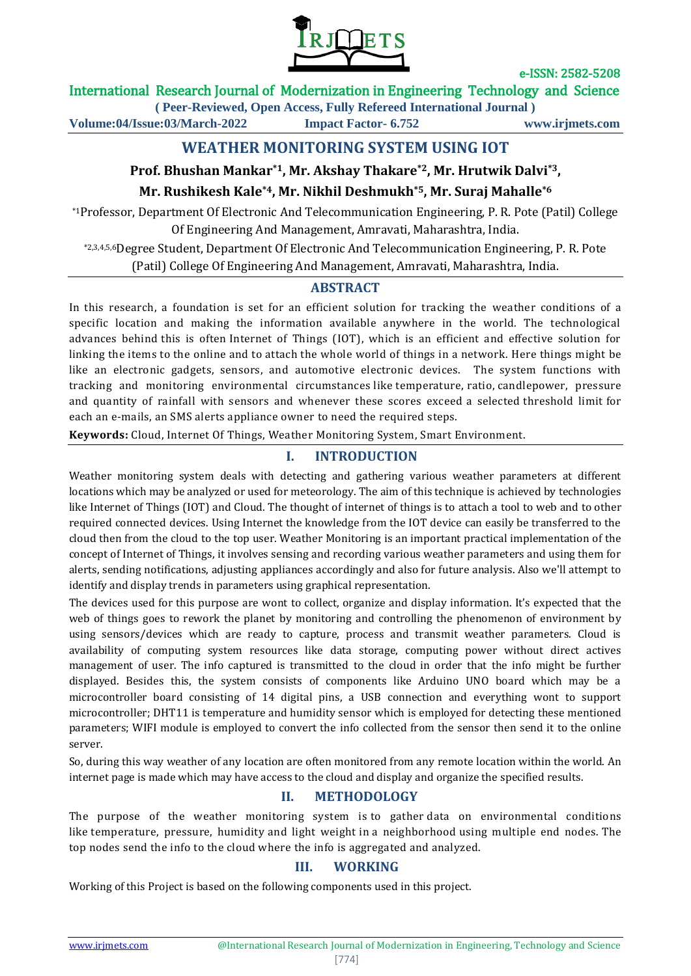

### International Research Journal of Modernization in Engineering Technology and Science

**( Peer-Reviewed, Open Access, Fully Refereed International Journal ) Volume:04/Issue:03/March-2022 Impact Factor- 6.752 www.irjmets.com**

# **WEATHER MONITORING SYSTEM USING IOT**

## **Prof. Bhushan Mankar\*1, Mr. Akshay Thakare\*2, Mr. Hrutwik Dalvi\*3,**

### **Mr. Rushikesh Kale\*4, Mr. Nikhil Deshmukh\*5, Mr. Suraj Mahalle\*6**

\*1Professor, Department Of Electronic And Telecommunication Engineering, P. R. Pote (Patil) College Of Engineering And Management, Amravati, Maharashtra, India.

\*2,3,4,5,6Degree Student, Department Of Electronic And Telecommunication Engineering, P. R. Pote (Patil) College Of Engineering And Management, Amravati, Maharashtra, India.

### **ABSTRACT**

In this research, a foundation is set for an efficient solution for tracking the weather conditions of a specific location and making the information available anywhere in the world. The technological advances behind this is often Internet of Things (IOT), which is an efficient and effective solution for linking the items to the online and to attach the whole world of things in a network. Here things might be like an electronic gadgets, sensors, and automotive electronic devices. The system functions with tracking and monitoring environmental circumstances like temperature, ratio, candlepower, pressure and quantity of rainfall with sensors and whenever these scores exceed a selected threshold limit for each an e-mails, an SMS alerts appliance owner to need the required steps.

**Keywords:** Cloud, Internet Of Things, Weather Monitoring System, Smart Environment.

## **I. INTRODUCTION**

Weather monitoring system deals with detecting and gathering various weather parameters at different locations which may be analyzed or used for meteorology. The aim of this technique is achieved by technologies like Internet of Things (IOT) and Cloud. The thought of internet of things is to attach a tool to web and to other required connected devices. Using Internet the knowledge from the IOT device can easily be transferred to the cloud then from the cloud to the top user. Weather Monitoring is an important practical implementation of the concept of Internet of Things, it involves sensing and recording various weather parameters and using them for alerts, sending notifications, adjusting appliances accordingly and also for future analysis. Also we'll attempt to identify and display trends in parameters using graphical representation.

The devices used for this purpose are wont to collect, organize and display information. It's expected that the web of things goes to rework the planet by monitoring and controlling the phenomenon of environment by using sensors/devices which are ready to capture, process and transmit weather parameters. Cloud is availability of computing system resources like data storage, computing power without direct actives management of user. The info captured is transmitted to the cloud in order that the info might be further displayed. Besides this, the system consists of components like Arduino UNO board which may be a microcontroller board consisting of 14 digital pins, a USB connection and everything wont to support microcontroller; DHT11 is temperature and humidity sensor which is employed for detecting these mentioned parameters; WIFI module is employed to convert the info collected from the sensor then send it to the online server.

So, during this way weather of any location are often monitored from any remote location within the world. An internet page is made which may have access to the cloud and display and organize the specified results.

## **II. METHODOLOGY**

The purpose of the weather monitoring system is to gather data on environmental conditions like temperature, pressure, humidity and light weight in a neighborhood using multiple end nodes. The top nodes send the info to the cloud where the info is aggregated and analyzed.

### **III. WORKING**

Working of this Project is based on the following components used in this project.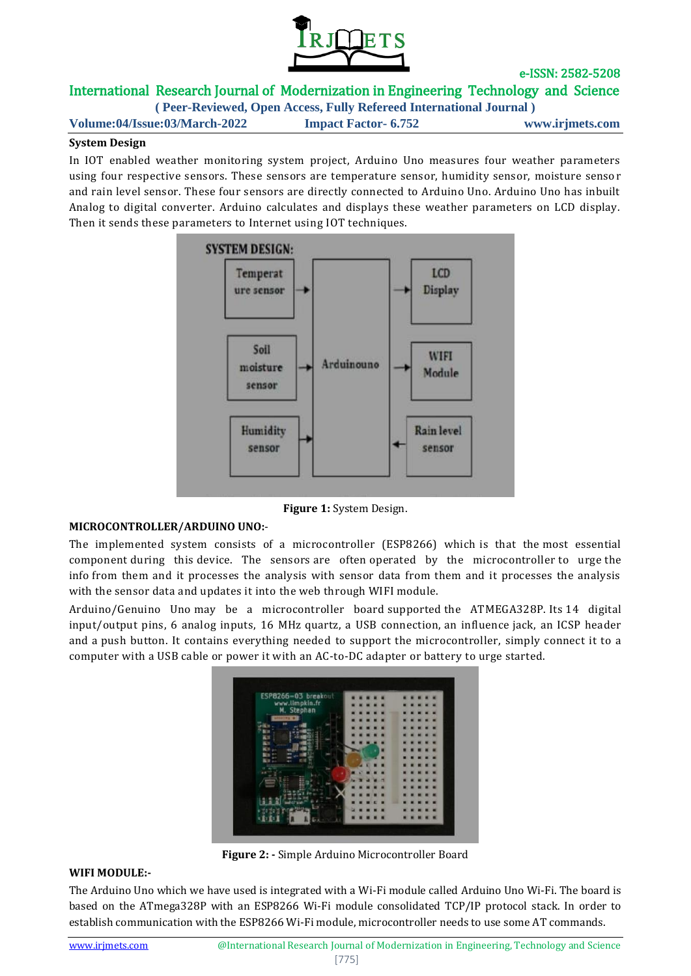

### International Research Journal of Modernization in Engineering Technology and Science **( Peer-Reviewed, Open Access, Fully Refereed International Journal )**

**Volume:04/Issue:03/March-2022 Impact Factor- 6.752 www.irjmets.com**

### **System Design**

In IOT enabled weather monitoring system project, Arduino Uno measures four weather parameters using four respective sensors. These sensors are temperature sensor, humidity sensor, moisture senso r and rain level sensor. These four sensors are directly connected to Arduino Uno. Arduino Uno has inbuilt Analog to digital converter. Arduino calculates and displays these weather parameters on LCD display. Then it sends these parameters to Internet using IOT techniques.



**Figure 1:** System Design.

#### **MICROCONTROLLER/ARDUINO UNO:**-

The implemented system consists of a microcontroller (ESP8266) which is that the most essential component during this device. The sensors are often operated by the microcontroller to urge the info from them and it processes the analysis with sensor data from them and it processes the analysis with the sensor data and updates it into the web through WIFI module.

Arduino/Genuino Uno may be a microcontroller board supported the ATMEGA328P. Its 14 digital input/output pins, 6 analog inputs, 16 MHz quartz, a USB connection, an influence jack, an ICSP header and a push button. It contains everything needed to support the microcontroller, simply connect it to a computer with a USB cable or power it with an AC-to-DC adapter or battery to urge started.



**Figure 2: -** Simple Arduino Microcontroller Board

### **WIFI MODULE:-**

The Arduino Uno which we have used is integrated with a Wi-Fi module called Arduino Uno Wi-Fi. The board is based on the ATmega328P with an ESP8266 Wi-Fi module consolidated TCP/IP protocol stack. In order to establish communication with the ESP8266 Wi-Fi module, microcontroller needs to use some AT commands.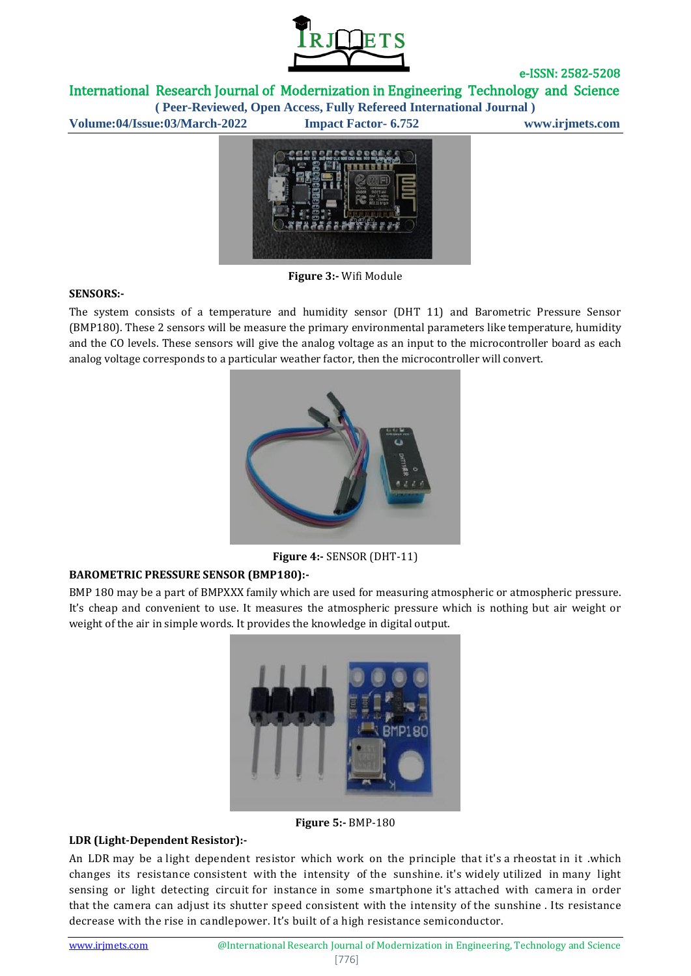

International Research Journal of Modernization in Engineering Technology and Science

**( Peer-Reviewed, Open Access, Fully Refereed International Journal ) Volume:04/Issue:03/March-2022 Impact Factor- 6.752 www.irjmets.com**



**Figure 3:-** Wifi Module

#### **SENSORS:-**

The system consists of a temperature and humidity sensor (DHT 11) and Barometric Pressure Sensor (BMP180). These 2 sensors will be measure the primary environmental parameters like temperature, humidity and the CO levels. These sensors will give the analog voltage as an input to the microcontroller board as each analog voltage corresponds to a particular weather factor, then the microcontroller will convert.



**Figure 4:-** SENSOR (DHT-11)

### **BAROMETRIC PRESSURE SENSOR (BMP180):-**

BMP 180 may be a part of BMPXXX family which are used for measuring atmospheric or atmospheric pressure. It's cheap and convenient to use. It measures the atmospheric pressure which is nothing but air weight or weight of the air in simple words. It provides the knowledge in digital output.



**Figure 5:-** BMP-180

#### **LDR (Light-Dependent Resistor):-**

An LDR may be a light dependent resistor which work on the principle that it's a rheostat in it .which changes its resistance consistent with the intensity of the sunshine. it's widely utilized in many light sensing or light detecting circuit for instance in some smartphone it's attached with camera in order that the camera can adjust its shutter speed consistent with the intensity of the sunshine . Its resistance decrease with the rise in candlepower. It's built of a high resistance semiconductor.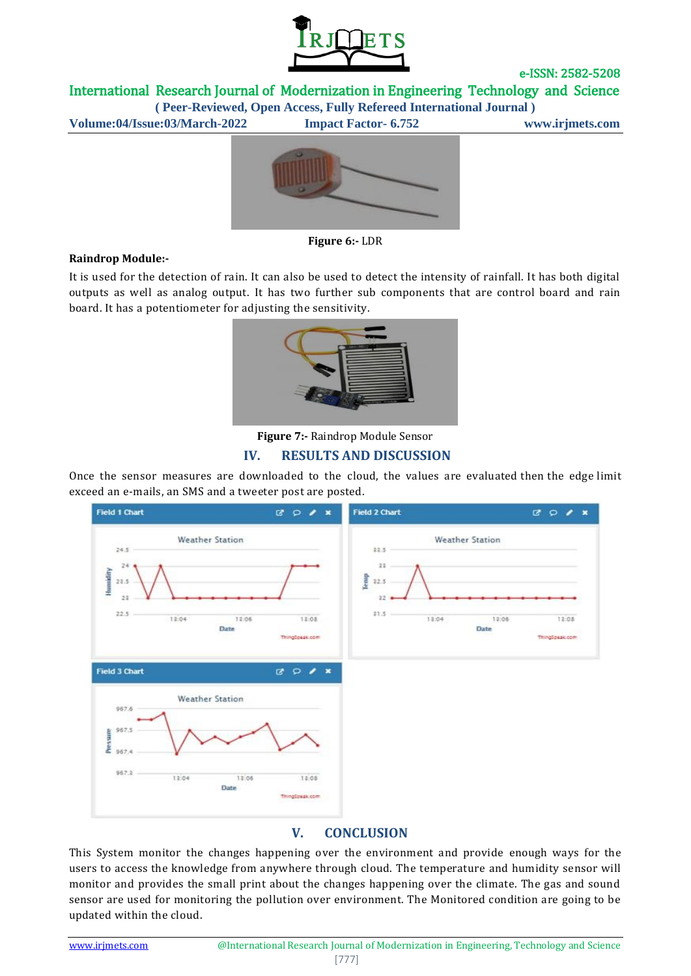

International Research Journal of Modernization in Engineering Technology and Science

**( Peer-Reviewed, Open Access, Fully Refereed International Journal ) Volume:04/Issue:03/March-2022 Impact Factor- 6.752 www.irjmets.com**



**Figure 6:-** LDR

#### **Raindrop Module:-**

It is used for the detection of rain. It can also be used to detect the intensity of rainfall. It has both digital outputs as well as analog output. It has two further sub components that are control board and rain board. It has a potentiometer for adjusting the sensitivity.



**Figure 7:-** Raindrop Module Sensor

### **IV. RESULTS AND DISCUSSION**

Once the sensor measures are downloaded to the cloud, the values are evaluated then the edge limit exceed an e-mails, an SMS and a tweeter post are posted.



## **V. CONCLUSION**

This System monitor the changes happening over the environment and provide enough ways for the users to access the knowledge from anywhere through cloud. The temperature and humidity sensor will monitor and provides the small print about the changes happening over the climate. The gas and sound sensor are used for monitoring the pollution over environment. The Monitored condition are going to be updated within the cloud.